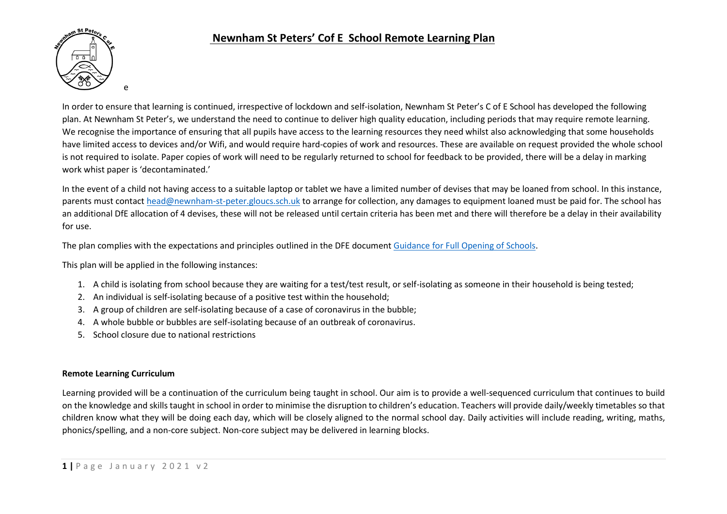

In order to ensure that learning is continued, irrespective of lockdown and self-isolation, Newnham St Peter's C of E School has developed the following plan. At Newnham St Peter's, we understand the need to continue to deliver high quality education, including periods that may require remote learning. We recognise the importance of ensuring that all pupils have access to the learning resources they need whilst also acknowledging that some households have limited access to devices and/or Wifi, and would require hard-copies of work and resources. These are available on request provided the whole school is not required to isolate. Paper copies of work will need to be regularly returned to school for feedback to be provided, there will be a delay in marking work whist paper is 'decontaminated.'

In the event of a child not having access to a suitable laptop or tablet we have a limited number of devises that may be loaned from school. In this instance, parents must contac[t head@newnham-st-peter.gloucs.sch.uk](mailto:head@newnham-st-peter.gloucs.sch.uk) to arrange for collection, any damages to equipment loaned must be paid for. The school has an additional DfE allocation of 4 devises, these will not be released until certain criteria has been met and there will therefore be a delay in their availability for use.

The plan complies with the expectations and principles outlined in the DFE documen[t Guidance for Full Opening of Schools.](https://www.gov.uk/government/publications/actions-for-schools-during-the-coronavirus-outbreak/guidance-for-full-opening-schools#res)

This plan will be applied in the following instances:

- 1. A child is isolating from school because they are waiting for a test/test result, or self-isolating as someone in their household is being tested;
- 2. An individual is self-isolating because of a positive test within the household;
- 3. A group of children are self-isolating because of a case of coronavirus in the bubble;
- 4. A whole bubble or bubbles are self-isolating because of an outbreak of coronavirus.
- 5. School closure due to national restrictions

#### **Remote Learning Curriculum**

Learning provided will be a continuation of the curriculum being taught in school. Our aim is to provide a well-sequenced curriculum that continues to build on the knowledge and skills taught in school in order to minimise the disruption to children's education. Teachers will provide daily/weekly timetables so that children know what they will be doing each day, which will be closely aligned to the normal school day. Daily activities will include reading, writing, maths, phonics/spelling, and a non-core subject. Non-core subject may be delivered in learning blocks.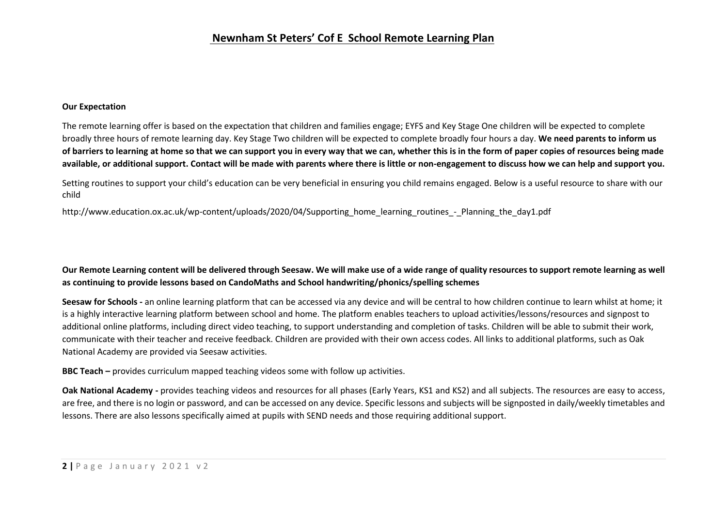#### **Our Expectation**

The remote learning offer is based on the expectation that children and families engage; EYFS and Key Stage One children will be expected to complete broadly three hours of remote learning day. Key Stage Two children will be expected to complete broadly four hours a day. **We need parents to inform us of barriers to learning at home so that we can support you in every way that we can, whether this is in the form of paper copies of resources being made available, or additional support. Contact will be made with parents where there is little or non-engagement to discuss how we can help and support you.** 

Setting routines to support your child's education can be very beneficial in ensuring you child remains engaged. Below is a useful resource to share with our child

http://www.education.ox.ac.uk/wp-content/uploads/2020/04/Supporting\_home\_learning\_routines\_-\_Planning\_the\_day1.pdf

## **Our Remote Learning content will be delivered through Seesaw. We will make use of a wide range of quality resources to support remote learning as well as continuing to provide lessons based on CandoMaths and School handwriting/phonics/spelling schemes**

**Seesaw for Schools -** an online learning platform that can be accessed via any device and will be central to how children continue to learn whilst at home; it is a highly interactive learning platform between school and home. The platform enables teachers to upload activities/lessons/resources and signpost to additional online platforms, including direct video teaching, to support understanding and completion of tasks. Children will be able to submit their work, communicate with their teacher and receive feedback. Children are provided with their own access codes. All links to additional platforms, such as Oak National Academy are provided via Seesaw activities.

**BBC Teach –** provides curriculum mapped teaching videos some with follow up activities.

Oak National Academy - provides teaching videos and resources for all phases (Early Years, KS1 and KS2) and all subjects. The resources are easy to access, are free, and there is no login or password, and can be accessed on any device. Specific lessons and subjects will be signposted in daily/weekly timetables and lessons. There are also lessons specifically aimed at pupils with SEND needs and those requiring additional support.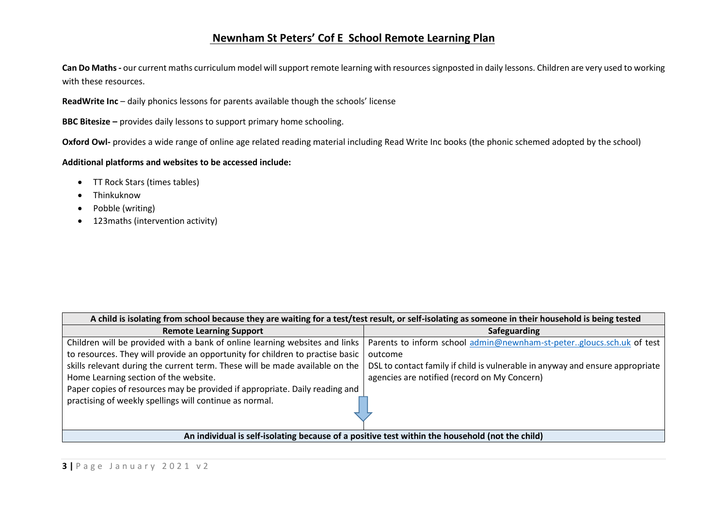**Can Do Maths-** our current maths curriculum model will support remote learning with resources signposted in daily lessons. Children are very used to working with these resources.

**ReadWrite Inc** – daily phonics lessons for parents available though the schools' license

**BBC Bitesize –** provides daily lessons to support primary home schooling.

**Oxford Owl-** provides a wide range of online age related reading material including Read Write Inc books (the phonic schemed adopted by the school)

#### **Additional platforms and websites to be accessed include:**

- TT Rock Stars (times tables)
- Thinkuknow
- Pobble (writing)
- 123maths (intervention activity)

| A child is isolating from school because they are waiting for a test/test result, or self-isolating as someone in their household is being tested |                                                                               |  |
|---------------------------------------------------------------------------------------------------------------------------------------------------|-------------------------------------------------------------------------------|--|
| <b>Remote Learning Support</b>                                                                                                                    | <b>Safeguarding</b>                                                           |  |
| Children will be provided with a bank of online learning websites and links                                                                       | Parents to inform school admin@newnham-st-petergloucs.sch.uk of test          |  |
| to resources. They will provide an opportunity for children to practise basic                                                                     | outcome                                                                       |  |
| skills relevant during the current term. These will be made available on the                                                                      | DSL to contact family if child is vulnerable in anyway and ensure appropriate |  |
| Home Learning section of the website.                                                                                                             | agencies are notified (record on My Concern)                                  |  |
| Paper copies of resources may be provided if appropriate. Daily reading and                                                                       |                                                                               |  |
| practising of weekly spellings will continue as normal.                                                                                           |                                                                               |  |
| An individual is self-isolating because of a positive test within the household (not the child)                                                   |                                                                               |  |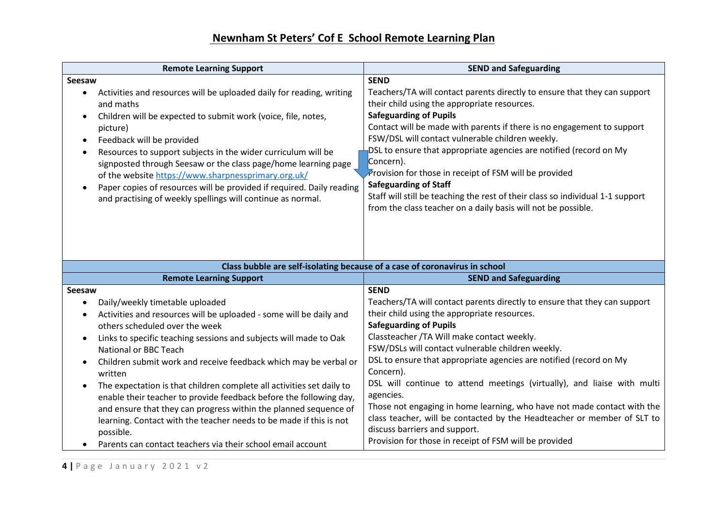| <b>Remote Learning Support</b>                                                                                                                                                                                                                                                                                                                                                                                                                                                                                                                                                                                                                                                              | <b>SEND and Safeguarding</b>                                                                                                                                                                                                                                                                                                                                                                                                                                                                                                                                                                                                    |
|---------------------------------------------------------------------------------------------------------------------------------------------------------------------------------------------------------------------------------------------------------------------------------------------------------------------------------------------------------------------------------------------------------------------------------------------------------------------------------------------------------------------------------------------------------------------------------------------------------------------------------------------------------------------------------------------|---------------------------------------------------------------------------------------------------------------------------------------------------------------------------------------------------------------------------------------------------------------------------------------------------------------------------------------------------------------------------------------------------------------------------------------------------------------------------------------------------------------------------------------------------------------------------------------------------------------------------------|
| Seesaw                                                                                                                                                                                                                                                                                                                                                                                                                                                                                                                                                                                                                                                                                      | <b>SEND</b>                                                                                                                                                                                                                                                                                                                                                                                                                                                                                                                                                                                                                     |
| Activities and resources will be uploaded daily for reading, writing<br>$\bullet$<br>and maths<br>Children will be expected to submit work (voice, file, notes,<br>$\bullet$<br>picture)<br>Feedback will be provided<br>$\bullet$<br>Resources to support subjects in the wider curriculum will be<br>$\bullet$<br>signposted through Seesaw or the class page/home learning page<br>of the website https://www.sharpnessprimary.org.uk/<br>Paper copies of resources will be provided if required. Daily reading<br>$\bullet$<br>and practising of weekly spellings will continue as normal.                                                                                              | Teachers/TA will contact parents directly to ensure that they can support<br>their child using the appropriate resources.<br><b>Safeguarding of Pupils</b><br>Contact will be made with parents if there is no engagement to support<br>FSW/DSL will contact vulnerable children weekly.<br>DSL to ensure that appropriate agencies are notified (record on My<br>Concern).<br>Provision for those in receipt of FSM will be provided<br><b>Safeguarding of Staff</b><br>Staff will still be teaching the rest of their class so individual 1-1 support<br>from the class teacher on a daily basis will not be possible.        |
|                                                                                                                                                                                                                                                                                                                                                                                                                                                                                                                                                                                                                                                                                             | Class bubble are self-isolating because of a case of coronavirus in school                                                                                                                                                                                                                                                                                                                                                                                                                                                                                                                                                      |
| <b>Remote Learning Support</b>                                                                                                                                                                                                                                                                                                                                                                                                                                                                                                                                                                                                                                                              | <b>SEND and Safeguarding</b>                                                                                                                                                                                                                                                                                                                                                                                                                                                                                                                                                                                                    |
| Seesaw                                                                                                                                                                                                                                                                                                                                                                                                                                                                                                                                                                                                                                                                                      | <b>SEND</b>                                                                                                                                                                                                                                                                                                                                                                                                                                                                                                                                                                                                                     |
| Daily/weekly timetable uploaded<br>$\bullet$<br>Activities and resources will be uploaded - some will be daily and<br>$\bullet$<br>others scheduled over the week<br>Links to specific teaching sessions and subjects will made to Oak<br>$\bullet$<br>National or BBC Teach<br>Children submit work and receive feedback which may be verbal or<br>$\bullet$<br>written<br>The expectation is that children complete all activities set daily to<br>$\bullet$<br>enable their teacher to provide feedback before the following day,<br>and ensure that they can progress within the planned sequence of<br>learning. Contact with the teacher needs to be made if this is not<br>possible. | Teachers/TA will contact parents directly to ensure that they can support<br>their child using the appropriate resources.<br><b>Safeguarding of Pupils</b><br>Classteacher /TA Will make contact weekly.<br>FSW/DSLs will contact vulnerable children weekly.<br>DSL to ensure that appropriate agencies are notified (record on My<br>Concern).<br>DSL will continue to attend meetings (virtually), and liaise with multi<br>agencies.<br>Those not engaging in home learning, who have not made contact with the<br>class teacher, will be contacted by the Headteacher or member of SLT to<br>discuss barriers and support. |

Parents can contact teachers via their school email account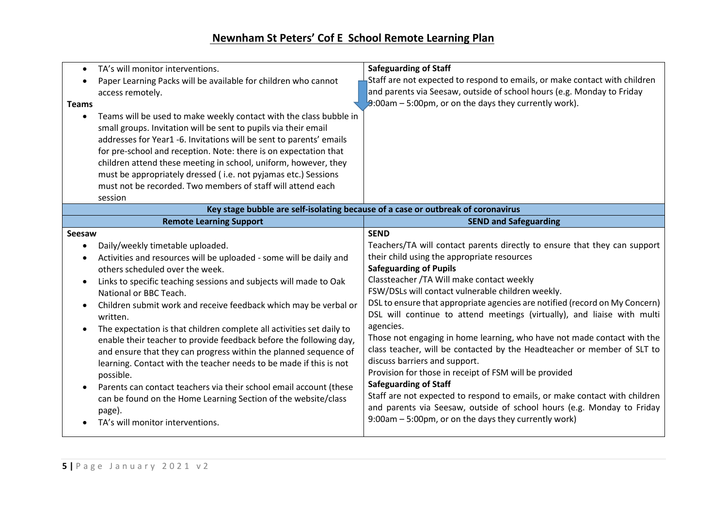| TA's will monitor interventions.<br>$\bullet$<br>Paper Learning Packs will be available for children who cannot<br>$\bullet$<br>access remotely.<br><b>Teams</b><br>Teams will be used to make weekly contact with the class bubble in<br>$\bullet$<br>small groups. Invitation will be sent to pupils via their email<br>addresses for Year1 -6. Invitations will be sent to parents' emails<br>for pre-school and reception. Note: there is on expectation that<br>children attend these meeting in school, uniform, however, they<br>must be appropriately dressed (i.e. not pyjamas etc.) Sessions                                                                                                                                                                                                                                                                   | <b>Safeguarding of Staff</b><br>Staff are not expected to respond to emails, or make contact with children<br>and parents via Seesaw, outside of school hours (e.g. Monday to Friday<br>$9:00$ am – 5:00pm, or on the days they currently work).                                                                                                                                                                                                                                                                                                                                                                                                                                                                                                                                                                                                                                                                                                    |
|--------------------------------------------------------------------------------------------------------------------------------------------------------------------------------------------------------------------------------------------------------------------------------------------------------------------------------------------------------------------------------------------------------------------------------------------------------------------------------------------------------------------------------------------------------------------------------------------------------------------------------------------------------------------------------------------------------------------------------------------------------------------------------------------------------------------------------------------------------------------------|-----------------------------------------------------------------------------------------------------------------------------------------------------------------------------------------------------------------------------------------------------------------------------------------------------------------------------------------------------------------------------------------------------------------------------------------------------------------------------------------------------------------------------------------------------------------------------------------------------------------------------------------------------------------------------------------------------------------------------------------------------------------------------------------------------------------------------------------------------------------------------------------------------------------------------------------------------|
| must not be recorded. Two members of staff will attend each                                                                                                                                                                                                                                                                                                                                                                                                                                                                                                                                                                                                                                                                                                                                                                                                              |                                                                                                                                                                                                                                                                                                                                                                                                                                                                                                                                                                                                                                                                                                                                                                                                                                                                                                                                                     |
| session                                                                                                                                                                                                                                                                                                                                                                                                                                                                                                                                                                                                                                                                                                                                                                                                                                                                  | Key stage bubble are self-isolating because of a case or outbreak of coronavirus                                                                                                                                                                                                                                                                                                                                                                                                                                                                                                                                                                                                                                                                                                                                                                                                                                                                    |
| <b>Remote Learning Support</b>                                                                                                                                                                                                                                                                                                                                                                                                                                                                                                                                                                                                                                                                                                                                                                                                                                           | <b>SEND and Safeguarding</b>                                                                                                                                                                                                                                                                                                                                                                                                                                                                                                                                                                                                                                                                                                                                                                                                                                                                                                                        |
| Seesaw<br>Daily/weekly timetable uploaded.<br>$\bullet$<br>Activities and resources will be uploaded - some will be daily and<br>$\bullet$<br>others scheduled over the week.<br>Links to specific teaching sessions and subjects will made to Oak<br>$\bullet$<br>National or BBC Teach.<br>Children submit work and receive feedback which may be verbal or<br>$\bullet$<br>written.<br>The expectation is that children complete all activities set daily to<br>$\bullet$<br>enable their teacher to provide feedback before the following day,<br>and ensure that they can progress within the planned sequence of<br>learning. Contact with the teacher needs to be made if this is not<br>possible.<br>Parents can contact teachers via their school email account (these<br>$\bullet$<br>can be found on the Home Learning Section of the website/class<br>page). | <b>SEND</b><br>Teachers/TA will contact parents directly to ensure that they can support<br>their child using the appropriate resources<br><b>Safeguarding of Pupils</b><br>Classteacher / TA Will make contact weekly<br>FSW/DSLs will contact vulnerable children weekly.<br>DSL to ensure that appropriate agencies are notified (record on My Concern)<br>DSL will continue to attend meetings (virtually), and liaise with multi<br>agencies.<br>Those not engaging in home learning, who have not made contact with the<br>class teacher, will be contacted by the Headteacher or member of SLT to<br>discuss barriers and support.<br>Provision for those in receipt of FSM will be provided<br><b>Safeguarding of Staff</b><br>Staff are not expected to respond to emails, or make contact with children<br>and parents via Seesaw, outside of school hours (e.g. Monday to Friday<br>9:00am - 5:00pm, or on the days they currently work) |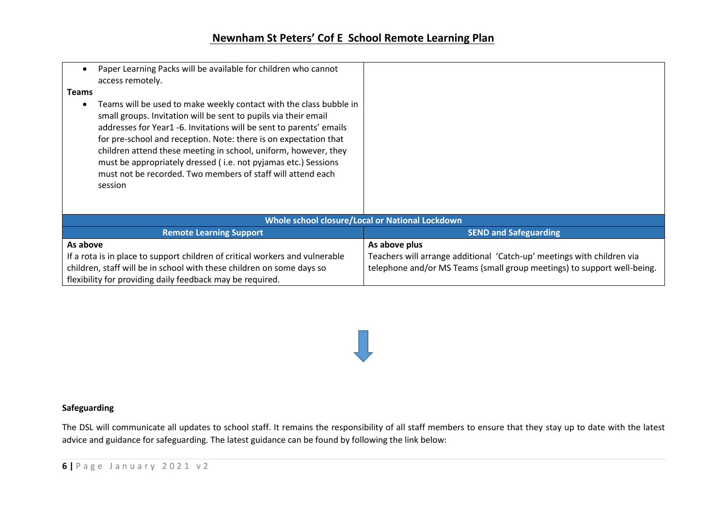| Paper Learning Packs will be available for children who cannot<br>$\bullet$<br>access remotely.<br><b>Teams</b><br>Teams will be used to make weekly contact with the class bubble in<br>$\bullet$<br>small groups. Invitation will be sent to pupils via their email<br>addresses for Year1 -6. Invitations will be sent to parents' emails<br>for pre-school and reception. Note: there is on expectation that<br>children attend these meeting in school, uniform, however, they<br>must be appropriately dressed (i.e. not pyjamas etc.) Sessions<br>must not be recorded. Two members of staff will attend each<br>session |                                                                         |  |
|---------------------------------------------------------------------------------------------------------------------------------------------------------------------------------------------------------------------------------------------------------------------------------------------------------------------------------------------------------------------------------------------------------------------------------------------------------------------------------------------------------------------------------------------------------------------------------------------------------------------------------|-------------------------------------------------------------------------|--|
| <b>Whole school closure/Local or National Lockdown</b>                                                                                                                                                                                                                                                                                                                                                                                                                                                                                                                                                                          |                                                                         |  |
| <b>Remote Learning Support</b>                                                                                                                                                                                                                                                                                                                                                                                                                                                                                                                                                                                                  | <b>SEND and Safeguarding</b>                                            |  |
| As above                                                                                                                                                                                                                                                                                                                                                                                                                                                                                                                                                                                                                        | As above plus                                                           |  |
| If a rota is in place to support children of critical workers and vulnerable                                                                                                                                                                                                                                                                                                                                                                                                                                                                                                                                                    | Teachers will arrange additional 'Catch-up' meetings with children via  |  |
| children, staff will be in school with these children on some days so                                                                                                                                                                                                                                                                                                                                                                                                                                                                                                                                                           | telephone and/or MS Teams (small group meetings) to support well-being. |  |
| flexibility for providing daily feedback may be required.                                                                                                                                                                                                                                                                                                                                                                                                                                                                                                                                                                       |                                                                         |  |

### **Safeguarding**

The DSL will communicate all updates to school staff. It remains the responsibility of all staff members to ensure that they stay up to date with the latest advice and guidance for safeguarding. The latest guidance can be found by following the link below: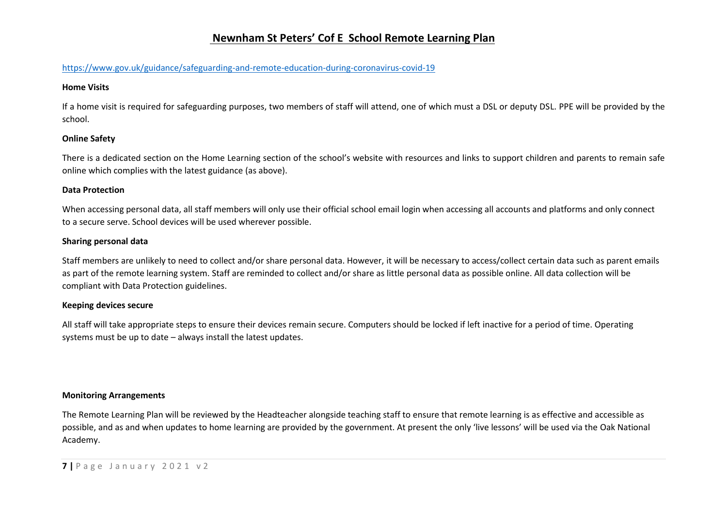#### <https://www.gov.uk/guidance/safeguarding-and-remote-education-during-coronavirus-covid-19>

#### **Home Visits**

If a home visit is required for safeguarding purposes, two members of staff will attend, one of which must a DSL or deputy DSL. PPE will be provided by the school.

#### **Online Safety**

There is a dedicated section on the Home Learning section of the school's website with resources and links to support children and parents to remain safe online which complies with the latest guidance (as above).

#### **Data Protection**

When accessing personal data, all staff members will only use their official school email login when accessing all accounts and platforms and only connect to a secure serve. School devices will be used wherever possible.

#### **Sharing personal data**

Staff members are unlikely to need to collect and/or share personal data. However, it will be necessary to access/collect certain data such as parent emails as part of the remote learning system. Staff are reminded to collect and/or share as little personal data as possible online. All data collection will be compliant with Data Protection guidelines.

#### **Keeping devices secure**

All staff will take appropriate steps to ensure their devices remain secure. Computers should be locked if left inactive for a period of time. Operating systems must be up to date – always install the latest updates.

#### **Monitoring Arrangements**

The Remote Learning Plan will be reviewed by the Headteacher alongside teaching staff to ensure that remote learning is as effective and accessible as possible, and as and when updates to home learning are provided by the government. At present the only 'live lessons' will be used via the Oak National Academy.